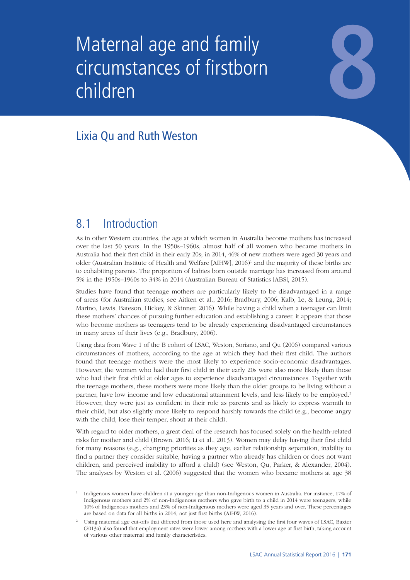# Maternal age and family circumstances of firstborn children Maternal age and family<br>circumstances of firstborn<br>children circumstances of firstborn children

# Lixia Qu and Ruth Weston

# 8.1 Introduction

As in other Western countries, the age at which women in Australia become mothers has increased over the last 50 years. In the 1950s–1960s, almost half of all women who became mothers in Australia had their first child in their early 20s; in 2014, 46% of new mothers were aged 30 years and older (Australian Institute of Health and Welfare [AIHW], 2016)<sup>1</sup> and the majority of these births are to cohabiting parents. The proportion of babies born outside marriage has increased from around 5% in the 1950s–1960s to 34% in 2014 (Australian Bureau of Statistics [ABS], 2015).

Studies have found that teenage mothers are particularly likely to be disadvantaged in a range of areas (for Australian studies, see Aitken et al., 2016; Bradbury, 2006; Kalb, Le, & Leung, 2014; Marino, Lewis, Bateson, Hickey, & Skinner, 2016). While having a child when a teenager can limit these mothers' chances of pursuing further education and establishing a career, it appears that those who become mothers as teenagers tend to be already experiencing disadvantaged circumstances in many areas of their lives (e.g., Bradbury, 2006).

Using data from Wave 1 of the B cohort of LSAC, Weston, Soriano, and Qu (2006) compared various circumstances of mothers, according to the age at which they had their first child. The authors found that teenage mothers were the most likely to experience socio-economic disadvantages. However, the women who had their first child in their early 20s were also more likely than those who had their first child at older ages to experience disadvantaged circumstances. Together with the teenage mothers, these mothers were more likely than the older groups to be living without a partner, have low income and low educational attainment levels, and less likely to be employed.<sup>2</sup> However, they were just as confident in their role as parents and as likely to express warmth to their child, but also slightly more likely to respond harshly towards the child (e.g., become angry with the child, lose their temper, shout at their child).

With regard to older mothers, a great deal of the research has focused solely on the health-related risks for mother and child (Brown, 2016; Li et al., 2013). Women may delay having their first child for many reasons (e.g., changing priorities as they age, earlier relationship separation, inability to find a partner they consider suitable, having a partner who already has children or does not want children, and perceived inability to afford a child) (see Weston, Qu, Parker, & Alexander, 2004). The analyses by Weston et al. (2006) suggested that the women who became mothers at age 38

<sup>1</sup> Indigenous women have children at a younger age than non-Indigenous women in Australia. For instance, 17% of Indigenous mothers and 2% of non-Indigenous mothers who gave birth to a child in 2014 were teenagers, while 10% of Indigenous mothers and 23% of non-Indigenous mothers were aged 35 years and over. These percentages are based on data for all births in 2014, not just first births (AIHW, 2016).

<sup>2</sup> Using maternal age cut-offs that differed from those used here and analysing the first four waves of LSAC, Baxter (2013a) also found that employment rates were lower among mothers with a lower age at first birth, taking account of various other maternal and family characteristics.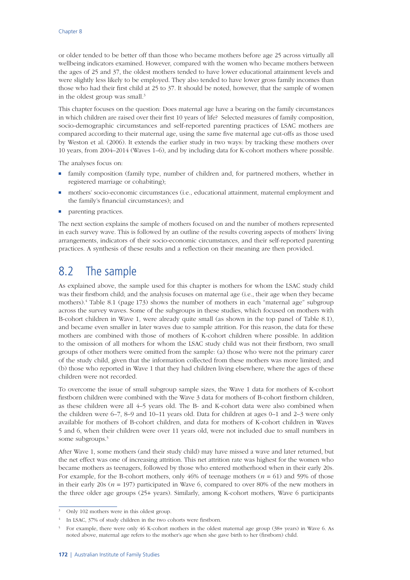or older tended to be better off than those who became mothers before age 25 across virtually all wellbeing indicators examined. However, compared with the women who became mothers between the ages of 25 and 37, the oldest mothers tended to have lower educational attainment levels and were slightly less likely to be employed. They also tended to have lower gross family incomes than those who had their first child at 25 to 37. It should be noted, however, that the sample of women in the oldest group was small.<sup>3</sup>

This chapter focuses on the question: Does maternal age have a bearing on the family circumstances in which children are raised over their first 10 years of life? Selected measures of family composition, socio-demographic circumstances and self-reported parenting practices of LSAC mothers are compared according to their maternal age, using the same five maternal age cut-offs as those used by Weston et al. (2006). It extends the earlier study in two ways: by tracking these mothers over 10 years, from 2004–2014 (Waves 1–6), and by including data for K-cohort mothers where possible.

The analyses focus on:

- family composition (family type, number of children and, for partnered mothers, whether in registered marriage or cohabiting);
- mothers' socio-economic circumstances (i.e., educational attainment, maternal employment and the family's financial circumstances); and
- parenting practices.

The next section explains the sample of mothers focused on and the number of mothers represented in each survey wave. This is followed by an outline of the results covering aspects of mothers' living arrangements, indicators of their socio-economic circumstances, and their self-reported parenting practices. A synthesis of these results and a reflection on their meaning are then provided.

# 8.2 The sample

As explained above, the sample used for this chapter is mothers for whom the LSAC study child was their firstborn child; and the analysis focuses on maternal age (i.e., their age when they became mothers).4 Table 8.1 [\(page](#page-2-0) 173) shows the number of mothers in each "maternal age" subgroup across the survey waves. Some of the subgroups in these studies, which focused on mothers with B-cohort children in Wave 1, were already quite small (as shown in the top panel of Table 8.1), and became even smaller in later waves due to sample attrition. For this reason, the data for these mothers are combined with those of mothers of K-cohort children where possible. In addition to the omission of all mothers for whom the LSAC study child was not their firstborn, two small groups of other mothers were omitted from the sample: (a) those who were not the primary carer of the study child, given that the information collected from these mothers was more limited; and (b) those who reported in Wave 1 that they had children living elsewhere, where the ages of these children were not recorded.

To overcome the issue of small subgroup sample sizes, the Wave 1 data for mothers of K-cohort firstborn children were combined with the Wave 3 data for mothers of B-cohort firstborn children, as these children were all 4–5 years old. The B- and K-cohort data were also combined when the children were 6–7, 8–9 and 10–11 years old. Data for children at ages 0–1 and 2–3 were only available for mothers of B-cohort children, and data for mothers of K-cohort children in Waves 5 and 6, when their children were over 11 years old, were not included due to small numbers in some subgroups.5

After Wave 1, some mothers (and their study child) may have missed a wave and later returned, but the net effect was one of increasing attrition. This net attrition rate was highest for the women who became mothers as teenagers, followed by those who entered motherhood when in their early 20s. For example, for the B-cohort mothers, only 46% of teenage mothers (*n* = 61) and 59% of those in their early 20s ( $n = 197$ ) participated in Wave 6, compared to over 80% of the new mothers in the three older age groups (25+ years). Similarly, among K-cohort mothers, Wave 6 participants

Only 102 mothers were in this oldest group.

<sup>&</sup>lt;sup>4</sup> In LSAC, 37% of study children in the two cohorts were firstborn.

<sup>5</sup> For example, there were only 46 K-cohort mothers in the oldest maternal age group (38+ years) in Wave 6. As noted above, maternal age refers to the mother's age when she gave birth to her (firstborn) child.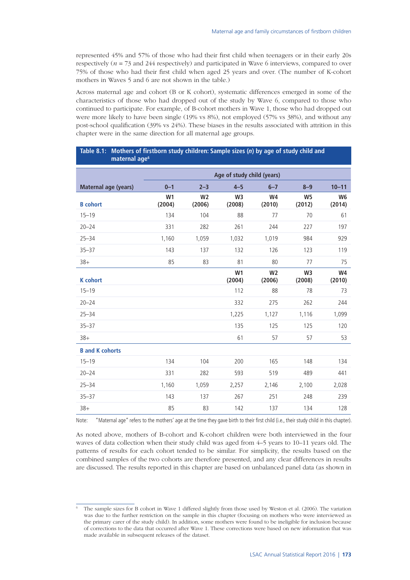represented 45% and 57% of those who had their first child when teenagers or in their early 20s respectively (*n* = 73 and 244 respectively) and participated in Wave 6 interviews, compared to over 75% of those who had their first child when aged 25 years and over. (The number of K-cohort mothers in Waves 5 and 6 are not shown in the table.)

Across maternal age and cohort (B or K cohort), systematic differences emerged in some of the characteristics of those who had dropped out of the study by Wave 6, compared to those who continued to participate. For example, of B-cohort mothers in Wave 1, those who had dropped out were more likely to have been single (19% vs 8%), not employed (57% vs 38%), and without any post-school qualification (39% vs 24%). These biases in the results associated with attrition in this chapter were in the same direction for all maternal age groups.

#### <span id="page-2-0"></span>**Table 8.1: Mothers of firstborn study children: Sample sizes (***n***) by age of study child and maternal age6**

|                               | Age of study child (years) |                          |                          |                          |                          |                          |
|-------------------------------|----------------------------|--------------------------|--------------------------|--------------------------|--------------------------|--------------------------|
| Maternal age (years)          | $0 - 1$                    | $2 - 3$                  | $4 - 5$                  | $6 - 7$                  | $8 - 9$                  | $10 - 11$                |
| <b>B</b> cohort               | W <sub>1</sub><br>(2004)   | W <sub>2</sub><br>(2006) | W <sub>3</sub><br>(2008) | W4<br>(2010)             | W <sub>5</sub><br>(2012) | W <sub>6</sub><br>(2014) |
| $15 - 19$                     | 134                        | 104                      | 88                       | 77                       | 70                       | 61                       |
| $20 - 24$                     | 331                        | 282                      | 261                      | 244                      | 227                      | 197                      |
| $25 - 34$                     | 1,160                      | 1,059                    | 1,032                    | 1,019                    | 984                      | 929                      |
| $35 - 37$                     | 143                        | 137                      | 132                      | 126                      | 123                      | 119                      |
| $38+$                         | 85                         | 83                       | 81                       | 80                       | 77                       | 75                       |
| <b>K</b> cohort               |                            |                          | W <sub>1</sub><br>(2004) | W <sub>2</sub><br>(2006) | W <sub>3</sub><br>(2008) | W4<br>(2010)             |
| $15 - 19$                     |                            |                          | 112                      | 88                       | 78                       | 73                       |
| $20 - 24$                     |                            |                          | 332                      | 275                      | 262                      | 244                      |
| $25 - 34$                     |                            |                          | 1,225                    | 1,127                    | 1,116                    | 1,099                    |
| $35 - 37$                     |                            |                          | 135                      | 125                      | 125                      | 120                      |
| $38+$                         |                            |                          | 61                       | 57                       | 57                       | 53                       |
| <b>B</b> and <b>K</b> cohorts |                            |                          |                          |                          |                          |                          |
| $15 - 19$                     | 134                        | 104                      | 200                      | 165                      | 148                      | 134                      |
| $20 - 24$                     | 331                        | 282                      | 593                      | 519                      | 489                      | 441                      |
| $25 - 34$                     | 1,160                      | 1,059                    | 2,257                    | 2,146                    | 2,100                    | 2,028                    |
| $35 - 37$                     | 143                        | 137                      | 267                      | 251                      | 248                      | 239                      |
| $38+$                         | 85                         | 83                       | 142                      | 137                      | 134                      | 128                      |

Note: "Maternal age" refers to the mothers' age at the time they gave birth to their first child (i.e., their study child in this chapter).

As noted above, mothers of B-cohort and K-cohort children were both interviewed in the four waves of data collection when their study child was aged from 4–5 years to 10–11 years old. The patterns of results for each cohort tended to be similar. For simplicity, the results based on the combined samples of the two cohorts are therefore presented, and any clear differences in results are discussed. The results reported in this chapter are based on unbalanced panel data (as shown in

<sup>6</sup> The sample sizes for B cohort in Wave 1 differed slightly from those used by Weston et al. (2006). The variation was due to the further restriction on the sample in this chapter (focusing on mothers who were interviewed as the primary carer of the study child). In addition, some mothers were found to be ineligible for inclusion because of corrections to the data that occurred after Wave 1. These corrections were based on new information that was made available in subsequent releases of the dataset.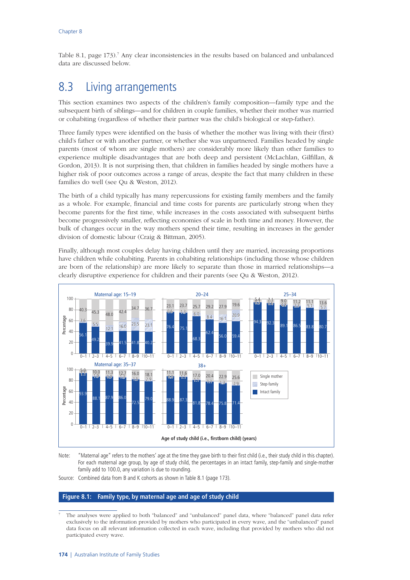Table 8.1, [page](#page-2-0) 173).<sup>7</sup> Any clear inconsistencies in the results based on balanced and unbalanced data are discussed below.

# 8.3 Living arrangements

This section examines two aspects of the children's family composition—family type and the subsequent birth of siblings—and for children in couple families, whether their mother was married or cohabiting (regardless of whether their partner was the child's biological or step-father).

Three family types were identified on the basis of whether the mother was living with their (first) child's father or with another partner, or whether she was unpartnered. Families headed by single parents (most of whom are single mothers) are considerably more likely than other families to experience multiple disadvantages that are both deep and persistent (McLachlan, Gilfillan, & Gordon, 2013). It is not surprising then, that children in families headed by single mothers have a higher risk of poor outcomes across a range of areas, despite the fact that many children in these families do well (see Qu & Weston, 2012).

The birth of a child typically has many repercussions for existing family members and the family as a whole. For example, financial and time costs for parents are particularly strong when they become parents for the first time, while increases in the costs associated with subsequent births become progressively smaller, reflecting economies of scale in both time and money. However, the bulk of changes occur in the way mothers spend their time, resulting in increases in the gender division of domestic labour (Craig & Bittman, 2005).

Finally, although most couples delay having children until they are married, increasing proportions have children while cohabiting. Parents in cohabiting relationships (including those whose children are born of the relationship) are more likely to separate than those in married relationships—a clearly disruptive experience for children and their parents (see Qu & Weston, 2012).



Note: "Maternal age" refers to the mothers' age at the time they gave birth to their first child (i.e., their study child in this chapter). For each maternal age group, by age of study child, the percentages in an intact family, step-family and single-mother family add to 100.0, any variation is due to rounding.

Source: Combined data from B and K cohorts as shown in Table 8.1 [\(page](#page-2-0) 173).

#### <span id="page-3-0"></span>**Figure 8.1: Family type, by maternal age and age of study child**

<sup>7</sup> The analyses were applied to both "balanced" and "unbalanced" panel data, where "balanced" panel data refer exclusively to the information provided by mothers who participated in every wave, and the "unbalanced" panel data focus on all relevant information collected in each wave, including that provided by mothers who did not participated every wave.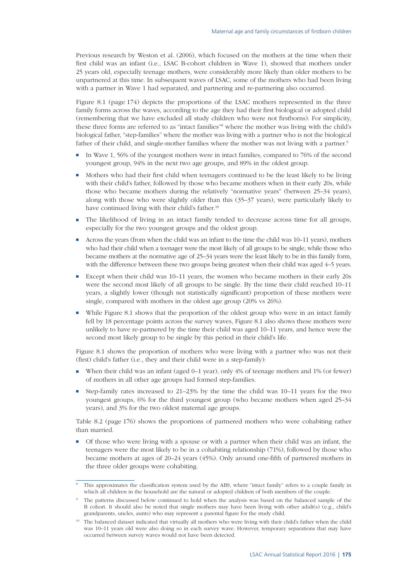Previous research by Weston et al. (2006), which focused on the mothers at the time when their first child was an infant (i.e., LSAC B-cohort children in Wave 1), showed that mothers under 25 years old, especially teenage mothers, were considerably more likely than older mothers to be unpartnered at this time. In subsequent waves of LSAC, some of the mothers who had been living with a partner in Wave 1 had separated, and partnering and re-partnering also occurred.

Figure 8.1 [\(page](#page-3-0) 174) depicts the proportions of the LSAC mothers represented in the three family forms across the waves, according to the age they had their first biological or adopted child (remembering that we have excluded all study children who were not firstborns). For simplicity, these three forms are referred to as "intact families"<sup>8</sup> where the mother was living with the child's biological father, "step-families" where the mother was living with a partner who is not the biological father of their child, and single-mother families where the mother was not living with a partner.<sup>9</sup>

- In Wave 1, 56% of the youngest mothers were in intact families, compared to 76% of the second youngest group, 94% in the next two age groups, and 89% in the oldest group.
- Mothers who had their first child when teenagers continued to be the least likely to be living with their child's father, followed by those who became mothers when in their early 20s, while those who became mothers during the relatively "normative years" (between 25–34 years), along with those who were slightly older than this (35–37 years), were particularly likely to have continued living with their child's father.<sup>10</sup>
- The likelihood of living in an intact family tended to decrease across time for all groups, especially for the two youngest groups and the oldest group.
- Across the years (from when the child was an infant to the time the child was 10–11 years), mothers who had their child when a teenager were the most likely of all groups to be single, while those who became mothers at the normative age of 25–34 years were the least likely to be in this family form, with the difference between these two groups being greatest when their child was aged 4–5 years.
- Except when their child was 10–11 years, the women who became mothers in their early 20s were the second most likely of all groups to be single. By the time their child reached 10–11 years, a slightly lower (though not statistically significant) proportion of these mothers were single, compared with mothers in the oldest age group (20% vs 26%).
- While Figure 8.1 shows that the proportion of the oldest group who were in an intact family fell by 18 percentage points across the survey waves, Figure 8.1 also shows these mothers were unlikely to have re-partnered by the time their child was aged 10–11 years, and hence were the second most likely group to be single by this period in their child's life.

Figure 8.1 shows the proportion of mothers who were living with a partner who was not their (first) child's father (i.e., they and their child were in a step-family):

- When their child was an infant (aged  $0-1$  year), only  $4%$  of teenage mothers and  $1%$  (or fewer) of mothers in all other age groups had formed step-families.
- Step-family rates increased to  $21-23%$  by the time the child was  $10-11$  years for the two youngest groups, 6% for the third youngest group (who became mothers when aged 25–34 years), and 3% for the two oldest maternal age groups.

Table 8.2 [\(page](#page-5-0) 176) shows the proportions of partnered mothers who were cohabiting rather than married.

■ Of those who were living with a spouse or with a partner when their child was an infant, the teenagers were the most likely to be in a cohabiting relationship (71%), followed by those who became mothers at ages of 20–24 years (45%). Only around one-fifth of partnered mothers in the three older groups were cohabiting.

<sup>8</sup> This approximates the classification system used by the ABS, where "intact family" refers to a couple family in which all children in the household are the natural or adopted children of both members of the couple.

The patterns discussed below continued to hold when the analysis was based on the balanced sample of the B cohort. It should also be noted that single mothers may have been living with other adult(s) (e.g., child's grandparents, uncles, aunts) who may represent a parental figure for the study child.

<sup>&</sup>lt;sup>10</sup> The balanced dataset indicated that virtually all mothers who were living with their child's father when the child was 10–11 years old were also doing so in each survey wave. However, temporary separations that may have occurred between survey waves would not have been detected.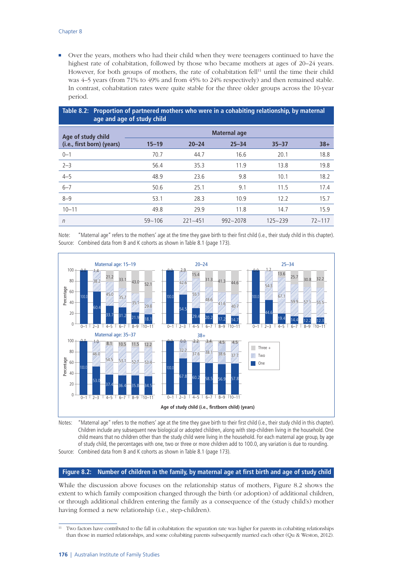■ Over the years, mothers who had their child when they were teenagers continued to have the highest rate of cohabitation, followed by those who became mothers at ages of 20–24 years. However, for both groups of mothers, the rate of cohabitation fell<sup>11</sup> until the time their child was 4–5 years (from 71% to 49% and from 45% to 24% respectively) and then remained stable. In contrast, cohabitation rates were quite stable for the three older groups across the 10-year period.

<span id="page-5-0"></span>

| Table 8.2: Proportion of partnered mothers who were in a cohabiting relationship, by maternal<br>age and age of study child |              |             |              |             |            |  |
|-----------------------------------------------------------------------------------------------------------------------------|--------------|-------------|--------------|-------------|------------|--|
| Age of study child                                                                                                          | Maternal age |             |              |             |            |  |
| (i.e., first born) (years)                                                                                                  | $15 - 19$    | $20 - 24$   | $25 - 34$    | $35 - 37$   | $38+$      |  |
| $0 - 1$                                                                                                                     | 70.7         | 44.7        | 16.6         | 20.1        | 18.8       |  |
| $2 - 3$                                                                                                                     | 56.4         | 35.3        | 11.9         | 13.8        | 19.8       |  |
| $4 - 5$                                                                                                                     | 48.9         | 23.6        | 9.8          | 10.1        | 18.2       |  |
| $6 - 7$                                                                                                                     | 50.6         | 25.1        | 9.1          | 11.5        | 17.4       |  |
| $8 - 9$                                                                                                                     | 53.1         | 28.3        | 10.9         | 12.2        | 15.7       |  |
| $10 - 11$                                                                                                                   | 49.8         | 29.9        | 11.8         | 14.7        | 15.9       |  |
| $\eta$                                                                                                                      | $59 - 106$   | $221 - 451$ | $992 - 2078$ | $125 - 239$ | $72 - 117$ |  |

Note: "Maternal age" refers to the mothers' age at the time they gave birth to their first child (i.e., their study child in this chapter). Source: Combined data from B and K cohorts as shown in Table 8.1 [\(page](#page-2-0) 173).



Notes: "Maternal age" refers to the mothers' age at the time they gave birth to their first child (i.e., their study child in this chapter). Children include any subsequent new biological or adopted children, along with step-children living in the household. One child means that no children other than the study child were living in the household. For each maternal age group, by age of study child, the percentages with one, two or three or more children add to 100.0, any variation is due to rounding.

Source: Combined data from B and K cohorts as shown in Table 8.1 [\(page](#page-2-0) 173).

#### **Figure 8.2: Number of children in the family, by maternal age at first birth and age of study child**

While the discussion above focuses on the relationship status of mothers, Figure 8.2 shows the extent to which family composition changed through the birth (or adoption) of additional children, or through additional children entering the family as a consequence of the (study child's) mother having formed a new relationship (i.e., step-children).

<sup>&</sup>lt;sup>11</sup> Two factors have contributed to the fall in cohabitation: the separation rate was higher for parents in cohabiting relationships than those in married relationships, and some cohabiting parents subsequently married each other (Qu & Weston, 2012).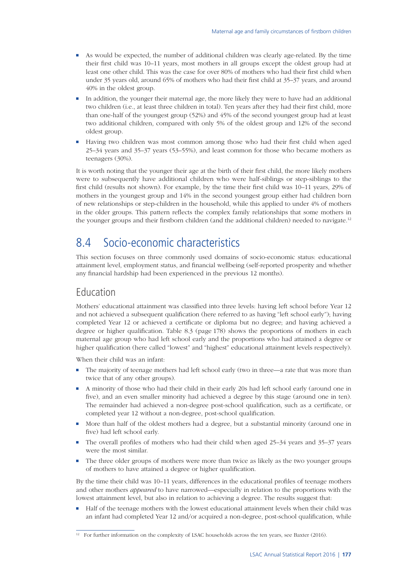- As would be expected, the number of additional children was clearly age-related. By the time their first child was 10–11 years, most mothers in all groups except the oldest group had at least one other child. This was the case for over 80% of mothers who had their first child when under 35 years old, around 65% of mothers who had their first child at 35–37 years, and around 40% in the oldest group.
- In addition, the younger their maternal age, the more likely they were to have had an additional two children (i.e., at least three children in total). Ten years after they had their first child, more than one-half of the youngest group (52%) and 45% of the second youngest group had at least two additional children, compared with only 5% of the oldest group and 12% of the second oldest group.
- Having two children was most common among those who had their first child when aged 25–34 years and 35–37 years (53–55%), and least common for those who became mothers as teenagers (30%).

It is worth noting that the younger their age at the birth of their first child, the more likely mothers were to subsequently have additional children who were half-siblings or step-siblings to the first child (results not shown). For example, by the time their first child was 10–11 years, 29% of mothers in the youngest group and 14% in the second youngest group either had children born of new relationships or step-children in the household, while this applied to under 4% of mothers in the older groups. This pattern reflects the complex family relationships that some mothers in the younger groups and their firstborn children (and the additional children) needed to navigate.<sup>12</sup>

# 8.4 Socio-economic characteristics

This section focuses on three commonly used domains of socio-economic status: educational attainment level, employment status, and financial wellbeing (self-reported prosperity and whether any financial hardship had been experienced in the previous 12 months).

### Education

Mothers' educational attainment was classified into three levels: having left school before Year 12 and not achieved a subsequent qualification (here referred to as having "left school early"); having completed Year 12 or achieved a certificate or diploma but no degree; and having achieved a degree or higher qualification. Table 8.3 ([page](#page-7-0) 178) shows the proportions of mothers in each maternal age group who had left school early and the proportions who had attained a degree or higher qualification (here called "lowest" and "highest" educational attainment levels respectively).

When their child was an infant:

- The majority of teenage mothers had left school early (two in three—a rate that was more than twice that of any other groups).
- A minority of those who had their child in their early 20s had left school early (around one in five), and an even smaller minority had achieved a degree by this stage (around one in ten). The remainder had achieved a non-degree post-school qualification, such as a certificate, or completed year 12 without a non-degree, post-school qualification.
- More than half of the oldest mothers had a degree, but a substantial minority (around one in five) had left school early.
- The overall profiles of mothers who had their child when aged  $25-34$  years and  $35-37$  years were the most similar.
- The three older groups of mothers were more than twice as likely as the two younger groups of mothers to have attained a degree or higher qualification.

By the time their child was 10–11 years, differences in the educational profiles of teenage mothers and other mothers *appeared* to have narrowed—especially in relation to the proportions with the lowest attainment level, but also in relation to achieving a degree. The results suggest that:

Half of the teenage mothers with the lowest educational attainment levels when their child was an infant had completed Year 12 and/or acquired a non-degree, post-school qualification, while

<sup>&</sup>lt;sup>12</sup> For further information on the complexity of LSAC households across the ten years, see Baxter (2016).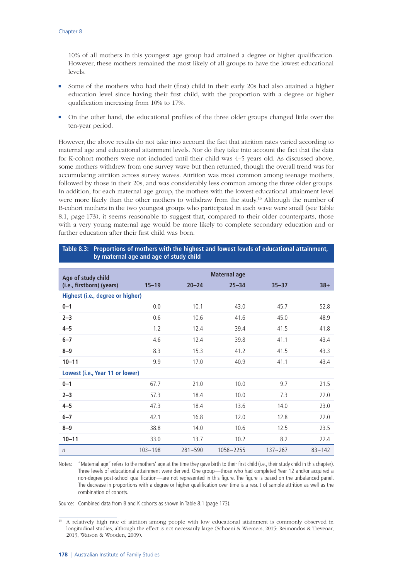10% of all mothers in this youngest age group had attained a degree or higher qualification. However, these mothers remained the most likely of all groups to have the lowest educational levels.

- Some of the mothers who had their (first) child in their early 20s had also attained a higher education level since having their first child, with the proportion with a degree or higher qualification increasing from 10% to 17%.
- On the other hand, the educational profiles of the three older groups changed little over the ten-year period.

However, the above results do not take into account the fact that attrition rates varied according to maternal age and educational attainment levels. Nor do they take into account the fact that the data for K-cohort mothers were not included until their child was 4–5 years old. As discussed above, some mothers withdrew from one survey wave but then returned, though the overall trend was for accumulating attrition across survey waves. Attrition was most common among teenage mothers, followed by those in their 20s, and was considerably less common among the three older groups. In addition, for each maternal age group, the mothers with the lowest educational attainment level were more likely than the other mothers to withdraw from the study.<sup>13</sup> Although the number of B-cohort mothers in the two youngest groups who participated in each wave were small (see Table 8.1, [page](#page-2-0) 173), it seems reasonable to suggest that, compared to their older counterparts, those with a very young maternal age would be more likely to complete secondary education and or further education after their first child was born.

#### <span id="page-7-0"></span>**Table 8.3: Proportions of mothers with the highest and lowest levels of educational attainment, by maternal age and age of study child**

|                                                 | <b>Maternal age</b> |             |           |             |            |  |
|-------------------------------------------------|---------------------|-------------|-----------|-------------|------------|--|
| Age of study child<br>(i.e., firstborn) (years) | $15 - 19$           | $20 - 24$   | $25 - 34$ | $35 - 37$   | $38+$      |  |
| Highest (i.e., degree or higher)                |                     |             |           |             |            |  |
| $0 - 1$                                         | 0.0                 | 10.1        | 43.0      | 45.7        | 52.8       |  |
| $2 - 3$                                         | 0.6                 | 10.6        | 41.6      | 45.0        | 48.9       |  |
| $4 - 5$                                         | 1.2                 | 12.4        | 39.4      | 41.5        | 41.8       |  |
| $6 - 7$                                         | 4.6                 | 12.4        | 39.8      | 41.1        | 43.4       |  |
| $8 - 9$                                         | 8.3                 | 15.3        | 41.2      | 41.5        | 43.3       |  |
| $10 - 11$                                       | 9.9                 | 17.0        | 40.9      | 41.1        | 43.4       |  |
| Lowest (i.e., Year 11 or lower)                 |                     |             |           |             |            |  |
| $0 - 1$                                         | 67.7                | 21.0        | 10.0      | 9.7         | 21.5       |  |
| $2 - 3$                                         | 57.3                | 18.4        | 10.0      | 7.3         | 22.0       |  |
| $4 - 5$                                         | 47.3                | 18.4        | 13.6      | 14.0        | 23.0       |  |
| $6 - 7$                                         | 42.1                | 16.8        | 12.0      | 12.8        | 22.0       |  |
| $8 - 9$                                         | 38.8                | 14.0        | 10.6      | 12.5        | 23.5       |  |
| $10 - 11$                                       | 33.0                | 13.7        | 10.2      | 8.2         | 22.4       |  |
| $\eta$                                          | $103 - 198$         | $281 - 590$ | 1058~2255 | $137 - 267$ | $83 - 142$ |  |

Notes: "Maternal age" refers to the mothers' age at the time they gave birth to their first child (i.e., their study child in this chapter). Three levels of educational attainment were derived. One group—those who had completed Year 12 and/or acquired a non-degree post-school qualification—are not represented in this figure. The figure is based on the unbalanced panel. The decrease in proportions with a degree or higher qualification over time is a result of sample attrition as well as the combination of cohorts.

Source: Combined data from B and K cohorts as shown in Table 8.1 [\(page](#page-2-0) 173).

<sup>&</sup>lt;sup>13</sup> A relatively high rate of attrition among people with low educational attainment is commonly observed in longitudinal studies, although the effect is not necessarily large (Schoeni & Wiemers, 2015; Reimondos & Trevenar, 2013; Watson & Wooden, 2009).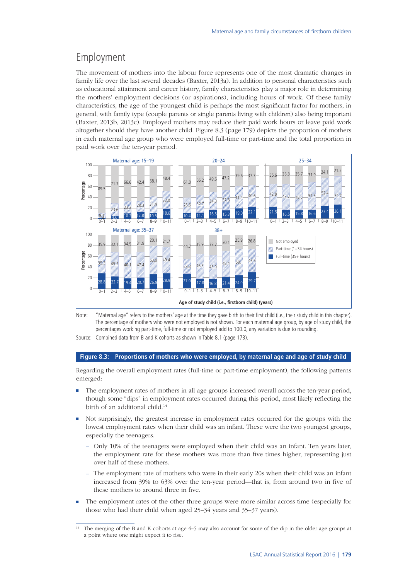## Employment

The movement of mothers into the labour force represents one of the most dramatic changes in family life over the last several decades (Baxter, 2013a). In addition to personal characteristics such as educational attainment and career history, family characteristics play a major role in determining the mothers' employment decisions (or aspirations), including hours of work. Of these family characteristics, the age of the youngest child is perhaps the most significant factor for mothers, in general, with family type (couple parents or single parents living with children) also being important (Baxter, 2013b, 2013c). Employed mothers may reduce their paid work hours or leave paid work altogether should they have another child. Figure 8.3 ([page](#page-8-0) 179) depicts the proportion of mothers in each maternal age group who were employed full-time or part-time and the total proportion in paid work over the ten-year period.



Note: "Maternal age" refers to the mothers' age at the time they gave birth to their first child (i.e., their study child in this chapter). The percentage of mothers who were not employed is not shown. For each maternal age group, by age of study child, the percentages working part-time, full-time or not employed add to 100.0, any variation is due to rounding.

Source: Combined data from B and K cohorts as shown in Table 8.1 ([page](#page-2-0) 173).

#### <span id="page-8-0"></span>**Figure 8.3: Proportions of mothers who were employed, by maternal age and age of study child**

Regarding the overall employment rates (full-time or part-time employment), the following patterns emerged:

- The employment rates of mothers in all age groups increased overall across the ten-year period, though some "dips" in employment rates occurred during this period, most likely reflecting the birth of an additional child.14
- Not surprisingly, the greatest increase in employment rates occurred for the groups with the lowest employment rates when their child was an infant. These were the two youngest groups, especially the teenagers.
	- Only 10% of the teenagers were employed when their child was an infant. Ten years later, the employment rate for these mothers was more than five times higher, representing just over half of these mothers.
	- The employment rate of mothers who were in their early 20s when their child was an infant increased from 39% to 63% over the ten-year period—that is, from around two in five of these mothers to around three in five.
- The employment rates of the other three groups were more similar across time (especially for those who had their child when aged 25–34 years and 35–37 years).

The merging of the B and K cohorts at age 4–5 may also account for some of the dip in the older age groups at a point where one might expect it to rise.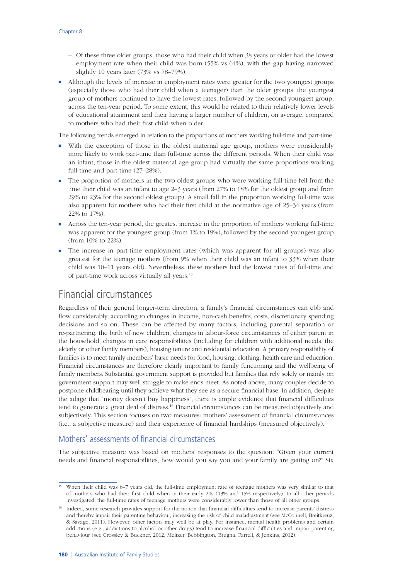- Of these three older groups, those who had their child when 38 years or older had the lowest employment rate when their child was born (55% vs 64%), with the gap having narrowed slightly 10 years later (73% vs 78–79%).
- Although the levels of increase in employment rates were greater for the two youngest groups (especially those who had their child when a teenager) than the older groups, the youngest group of mothers continued to have the lowest rates, followed by the second youngest group, across the ten-year period. To some extent, this would be related to their relatively lower levels of educational attainment and their having a larger number of children, on average, compared to mothers who had their first child when older.

The following trends emerged in relation to the proportions of mothers working full-time and part-time:

- With the exception of those in the oldest maternal age group, mothers were considerably more likely to work part-time than full-time across the different periods. When their child was an infant, those in the oldest maternal age group had virtually the same proportions working full-time and part-time (27–28%).
- The proportion of mothers in the two oldest groups who were working full-time fell from the time their child was an infant to age 2–3 years (from 27% to 18% for the oldest group and from 29% to 23% for the second oldest group). A small fall in the proportion working full-time was also apparent for mothers who had their first child at the normative age of 25–34 years (from 22% to 17%).
- Across the ten-year period, the greatest increase in the proportion of mothers working full-time was apparent for the youngest group (from 1% to 19%), followed by the second youngest group (from 10% to 22%).
- The increase in part-time employment rates (which was apparent for all groups) was also greatest for the teenage mothers (from 9% when their child was an infant to 33% when their child was 10–11 years old). Nevertheless, these mothers had the lowest rates of full-time and of part-time work across virtually all years.15

## Financial circumstances

Regardless of their general longer-term direction, a family's financial circumstances can ebb and flow considerably, according to changes in income, non-cash benefits, costs, discretionary spending decisions and so on. These can be affected by many factors, including parental separation or re-partnering, the birth of new children, changes in labour-force circumstances of either parent in the household, changes in care responsibilities (including for children with additional needs, the elderly or other family members), housing tenure and residential relocation. A primary responsibility of families is to meet family members' basic needs for food, housing, clothing, health care and education. Financial circumstances are therefore clearly important to family functioning and the wellbeing of family members. Substantial government support is provided but families that rely solely or mainly on government support may well struggle to make ends meet. As noted above, many couples decide to postpone childbearing until they achieve what they see as a secure financial base. In addition, despite the adage that "money doesn't buy happiness", there is ample evidence that financial difficulties tend to generate a great deal of distress.16 Financial circumstances can be measured objectively and subjectively. This section focuses on two measures: mothers' assessment of financial circumstances (i.e., a subjective measure) and their experience of financial hardships (measured objectively).

#### Mothers' assessments of financial circumstances

The subjective measure was based on mothers' responses to the question: "Given your current needs and financial responsibilities, how would you say you and your family are getting on?" Six

<sup>&</sup>lt;sup>15</sup> When their child was 6–7 years old, the full-time employment rate of teenage mothers was very similar to that of mothers who had their first child when in their early 20s (13% and 15% respectively). In all other periods investigated, the full-time rates of teenage mothers were considerably lower than those of all other groups.

<sup>&</sup>lt;sup>16</sup> Indeed, some research provides support for the notion that financial difficulties tend to increase parents' distress and thereby impair their parenting behaviour, increasing the risk of child maladjustment (see McConnell, Breitkreuz, & Savage, 2011). However, other factors may well be at play. For instance, mental health problems and certain addictions (e.g., addictions to alcohol or other drugs) tend to increase financial difficulties and impair parenting behaviour (see Crossley & Buckner, 2012; Meltzer, Bebbington, Brugha, Farrell, & Jenkins, 2012).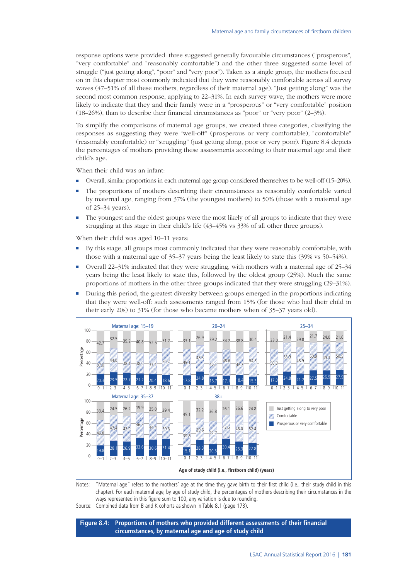response options were provided: three suggested generally favourable circumstances ("prosperous", "very comfortable" and "reasonably comfortable") and the other three suggested some level of struggle ("just getting along", "poor" and "very poor"). Taken as a single group, the mothers focused on in this chapter most commonly indicated that they were reasonably comfortable across all survey waves (47–51% of all these mothers, regardless of their maternal age). "Just getting along" was the second most common response, applying to 22–31%. In each survey wave, the mothers were more likely to indicate that they and their family were in a "prosperous" or "very comfortable" position (18–26%), than to describe their financial circumstances as "poor" or "very poor" (2–3%).

To simplify the comparisons of maternal age groups, we created three categories, classifying the responses as suggesting they were "well-off" (prosperous or very comfortable), "comfortable" (reasonably comfortable) or "struggling" (just getting along, poor or very poor). Figure 8.4 depicts the percentages of mothers providing these assessments according to their maternal age and their child's age.

When their child was an infant:

- Overall, similar proportions in each maternal age group considered themselves to be well-off (15–20%).
- The proportions of mothers describing their circumstances as reasonably comfortable varied by maternal age, ranging from 37% (the youngest mothers) to 50% (those with a maternal age of 25–34 years).
- The youngest and the oldest groups were the most likely of all groups to indicate that they were struggling at this stage in their child's life (43–45% vs 33% of all other three groups).

When their child was aged 10–11 years:

- By this stage, all groups most commonly indicated that they were reasonably comfortable, with those with a maternal age of 35–37 years being the least likely to state this (39% vs 50–54%).
- Overall 22–31% indicated that they were struggling, with mothers with a maternal age of 25–34 years being the least likely to state this, followed by the oldest group (25%). Much the same proportions of mothers in the other three groups indicated that they were struggling (29–31%).
- During this period, the greatest diversity between groups emerged in the proportions indicating that they were well-off: such assessments ranged from 15% (for those who had their child in their early 20s) to 31% (for those who became mothers when of 35–37 years old).



Notes: "Maternal age" refers to the mothers' age at the time they gave birth to their first child (i.e., their study child in this chapter). For each maternal age, by age of study child, the percentages of mothers describing their circumstances in the ways represented in this figure sum to 100, any variation is due to rounding.

Source: Combined data from B and K cohorts as shown in Table 8.1 ([page](#page-2-0) 173).

**Figure 8.4: Proportions of mothers who provided different assessments of their financial circumstances, by maternal age and age of study child**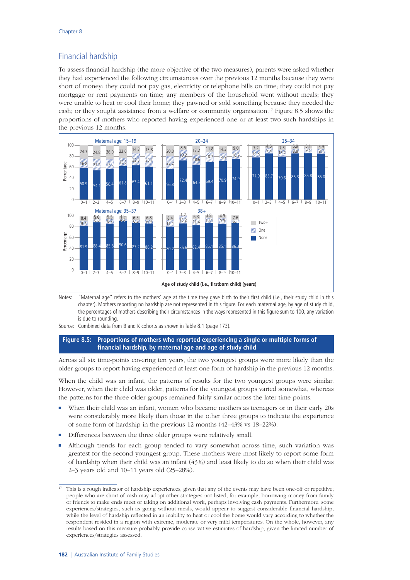## Financial hardship

To assess financial hardship (the more objective of the two measures), parents were asked whether they had experienced the following circumstances over the previous 12 months because they were short of money: they could not pay gas, electricity or telephone bills on time; they could not pay mortgage or rent payments on time; any members of the household went without meals; they were unable to heat or cool their home; they pawned or sold something because they needed the cash; or they sought assistance from a welfare or community organisation.17 Figure 8.5 shows the proportions of mothers who reported having experienced one or at least two such hardships in the previous 12 months.



Notes: "Maternal age" refers to the mothers' age at the time they gave birth to their first child (i.e., their study child in this chapter). Mothers reporting no hardship are not represented in this figure. For each maternal age, by age of study child, the percentages of mothers describing their circumstances in the ways represented in this figure sum to 100, any variation is due to rounding.

Source: Combined data from B and K cohorts as shown in Table 8.1 [\(page](#page-2-0) 173).

#### **Figure 8.5: Proportions of mothers who reported experiencing a single or multiple forms of financial hardship, by maternal age and age of study child**

Across all six time-points covering ten years, the two youngest groups were more likely than the older groups to report having experienced at least one form of hardship in the previous 12 months.

When the child was an infant, the patterns of results for the two youngest groups were similar. However, when their child was older, patterns for the youngest groups varied somewhat, whereas the patterns for the three older groups remained fairly similar across the later time points.

- When their child was an infant, women who became mothers as teenagers or in their early 20s were considerably more likely than those in the other three groups to indicate the experience of some form of hardship in the previous 12 months (42–43% vs 18–22%).
- Differences between the three older groups were relatively small.
- Although trends for each group tended to vary somewhat across time, such variation was greatest for the second youngest group. These mothers were most likely to report some form of hardship when their child was an infant (43%) and least likely to do so when their child was 2–3 years old and 10–11 years old (25–28%).

<sup>17</sup> This is a rough indicator of hardship experiences, given that any of the events may have been one-off or repetitive; people who are short of cash may adopt other strategies not listed; for example, borrowing money from family or friends to make ends meet or taking on additional work, perhaps involving cash payments. Furthermore, some experiences/strategies, such as going without meals, would appear to suggest considerable financial hardship, while the level of hardship reflected in an inability to heat or cool the home would vary according to whether the respondent resided in a region with extreme, moderate or very mild temperatures. On the whole, however, any results based on this measure probably provide conservative estimates of hardship, given the limited number of experiences/strategies assessed.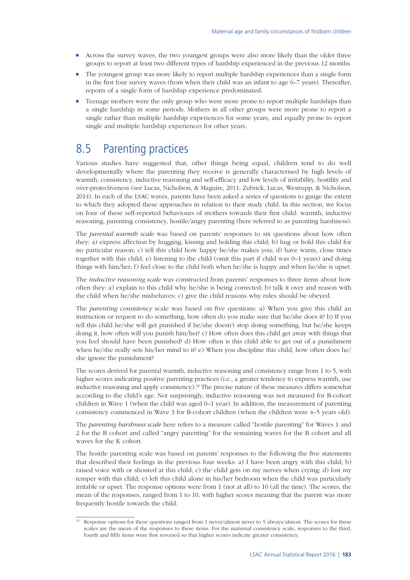- Across the survey waves, the two youngest groups were also more likely than the older three groups to report at least two different types of hardship experienced in the previous 12 months.
- The youngest group was more likely to report multiple hardship experiences than a single form in the first four survey waves (from when their child was an infant to age 6–7 years). Thereafter, reports of a single form of hardship experience predominated.
- Teenage mothers were the only group who were more prone to report multiple hardships than a single hardship in some periods. Mothers in all other groups were more prone to report a single rather than multiple hardship experiences for some years, and equally prone to report single and multiple hardship experiences for other years.

# 8.5 Parenting practices

Various studies have suggested that, other things being equal, children tend to do well developmentally where the parenting they receive is generally characterised by high levels of warmth, consistency, inductive reasoning and self-efficacy and low levels of irritability, hostility and over-protectiveness (see Lucas, Nicholson, & Maguire, 2011; Zubrick, Lucas, Westrupp, & Nicholson, 2014). In each of the LSAC waves, parents have been asked a series of questions to gauge the extent to which they adopted these approaches in relation to their study child. In this section, we focus on four of these self-reported behaviours of mothers towards their first child: warmth, inductive reasoning, parenting consistency, hostile/angry parenting (here referred to as parenting harshness).

The *parental warmth scale* was based on parents' responses to six questions about how often they: a) express affection by hugging, kissing and holding this child; b) hug or hold this child for no particular reason; c) tell this child how happy he/she makes you; d) have warm, close times together with this child; e) listening to the child (omit this part if child was 0–1 years) and doing things with him/her; f) feel close to the child both when he/she is happy and when he/she is upset.

The *inductive reasoning scale* was constructed from parents' responses to three items about how often they: a) explain to this child why he/she is being corrected; b) talk it over and reason with the child when he/she misbehaves; c) give the child reasons why rules should be obeyed.

The *parenting consistency* scale was based on five questions: a) When you give this child an instruction or request to do something, how often do you make sure that he/she does it? b) If you tell this child he/she will get punished if he/she doesn't stop doing something, but he/she keeps doing it, how often will you punish him/her? c) How often does this child get away with things that you feel should have been punished? d) How often is this child able to get out of a punishment when he/she really sets his/her mind to it? e) When you discipline this child, how often does he/ she ignore the punishment?

The scores derived for parental warmth, inductive reasoning and consistency range from 1 to 5, with higher scores indicating positive parenting practices (i.e., a greater tendency to express warmth, use inductive reasoning and apply consistency).<sup>18</sup> The precise nature of these measures differs somewhat according to the child's age. Not surprisingly, inductive reasoning was not measured for B-cohort children in Wave 1 (when the child was aged 0–1 year). In addition, the measurement of parenting consistency commenced in Wave 3 for B-cohort children (when the children were 4–5 years old).

The *parenting harshness scale* here refers to a measure called "hostile parenting" for Waves 1 and 2 for the B cohort and called "angry parenting" for the remaining waves for the B cohort and all waves for the K cohort.

The hostile parenting scale was based on parents' responses to the following the five statements that described their feelings in the previous four weeks: a) I have been angry with this child; b) raised voice with or shouted at this child; c) the child gets on my nerves when crying; d) lost my temper with this child; e) left this child alone in his/her bedroom when the child was particularly irritable or upset. The response options were from 1 (not at all) to 10 (all the time). The scores, the mean of the responses, ranged from 1 to 10, with higher scores meaning that the parent was more frequently hostile towards the child.

Response options for these questions ranged from 1 never/almost never to 5 always/almost. The scores for these scales are the mean of the responses to these items. For the maternal consistency scale, responses to the third, fourth and fifth items were first reversed so that higher scores indicate greater consistency.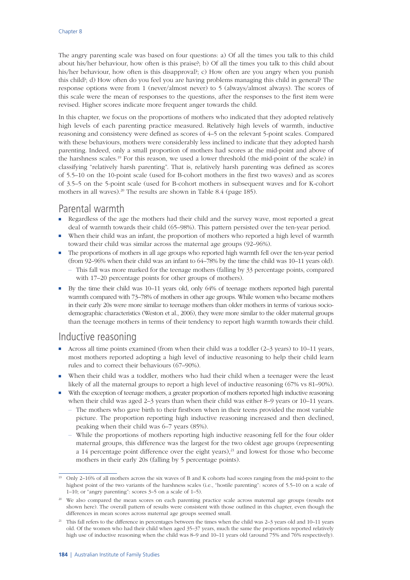The angry parenting scale was based on four questions: a) Of all the times you talk to this child about his/her behaviour, how often is this praise?; b) Of all the times you talk to this child about his/her behaviour, how often is this disapproval?; c) How often are you angry when you punish this child?; d) How often do you feel you are having problems managing this child in general? The response options were from 1 (never/almost never) to 5 (always/almost always). The scores of this scale were the mean of responses to the questions, after the responses to the first item were revised. Higher scores indicate more frequent anger towards the child.

In this chapter, we focus on the proportions of mothers who indicated that they adopted relatively high levels of each parenting practice measured. Relatively high levels of warmth, inductive reasoning and consistency were defined as scores of 4–5 on the relevant 5-point scales. Compared with these behaviours, mothers were considerably less inclined to indicate that they adopted harsh parenting. Indeed, only a small proportion of mothers had scores at the mid-point and above of the harshness scales.19 For this reason, we used a lower threshold (the mid-point of the scale) in classifying "relatively harsh parenting". That is, relatively harsh parenting was defined as scores of 5.5–10 on the 10-point scale (used for B-cohort mothers in the first two waves) and as scores of 3.5–5 on the 5-point scale (used for B-cohort mothers in subsequent waves and for K-cohort mothers in all waves).<sup>20</sup> The results are shown in Table 8.4 [\(page](#page-14-0) 185).

## Parental warmth

- Regardless of the age the mothers had their child and the survey wave, most reported a great deal of warmth towards their child (65–98%). This pattern persisted over the ten-year period.
- When their child was an infant, the proportion of mothers who reported a high level of warmth toward their child was similar across the maternal age groups (92–96%).
- The proportions of mothers in all age groups who reported high warmth fell over the ten-year period (from 92–96% when their child was an infant to 64–78% by the time the child was 10–11 years old).
	- This fall was more marked for the teenage mothers (falling by 33 percentage points, compared with 17–20 percentage points for other groups of mothers).
- By the time their child was 10–11 years old, only 64% of teenage mothers reported high parental warmth compared with 73–78% of mothers in other age groups. While women who became mothers in their early 20s were more similar to teenage mothers than older mothers in terms of various sociodemographic characteristics (Weston et al., 2006), they were more similar to the older maternal groups than the teenage mothers in terms of their tendency to report high warmth towards their child.

## Inductive reasoning

- Across all time points examined (from when their child was a toddler (2–3 years) to 10–11 years, most mothers reported adopting a high level of inductive reasoning to help their child learn rules and to correct their behaviours (67–90%).
- When their child was a toddler, mothers who had their child when a teenager were the least likely of all the maternal groups to report a high level of inductive reasoning (67% vs 81–90%).
- With the exception of teenage mothers, a greater proportion of mothers reported high inductive reasoning when their child was aged 2–3 years than when their child was either 8–9 years or 10–11 years.
	- The mothers who gave birth to their firstborn when in their teens provided the most variable picture. The proportion reporting high inductive reasoning increased and then declined, peaking when their child was 6–7 years (85%).
	- While the proportions of mothers reporting high inductive reasoning fell for the four older maternal groups, this difference was the largest for the two oldest age groups (representing a 14 percentage point difference over the eight years), $^{21}$  and lowest for those who become mothers in their early 20s (falling by 5 percentage points).

<sup>&</sup>lt;sup>19</sup> Only 2–16% of all mothers across the six waves of B and K cohorts had scores ranging from the mid-point to the highest point of the two variants of the harshness scales (i.e., "hostile parenting": scores of 5.5–10 on a scale of 1–10; or "angry parenting": scores 3–5 on a scale of 1–5).

<sup>&</sup>lt;sup>20</sup> We also compared the mean scores on each parenting practice scale across maternal age groups (results not shown here). The overall pattern of results were consistent with those outlined in this chapter, even though the differences in mean scores across maternal age groups seemed small.

 $21$  This fall refers to the difference in percentages between the times when the child was  $2-3$  years old and  $10-11$  years old. Of the women who had their child when aged 35–37 years, much the same the proportions reported relatively high use of inductive reasoning when the child was 8–9 and 10–11 years old (around 75% and 76% respectively).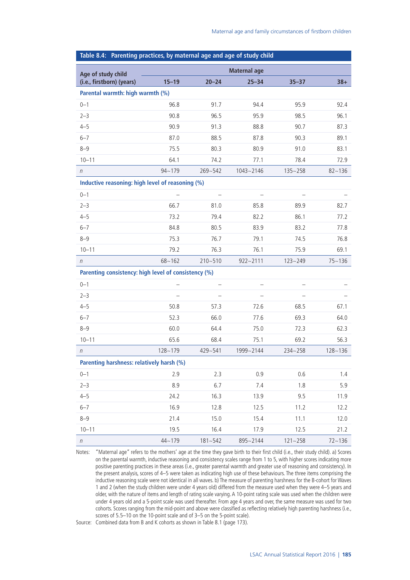<span id="page-14-0"></span>

| Table 8.4: Parenting practices, by maternal age and age of study child |                          |                          |                          |                          |             |  |  |
|------------------------------------------------------------------------|--------------------------|--------------------------|--------------------------|--------------------------|-------------|--|--|
|                                                                        |                          |                          | <b>Maternal age</b>      |                          |             |  |  |
| Age of study child<br>(i.e., firstborn) (years)                        | $15 - 19$                | $20 - 24$                | $25 - 34$                | $35 - 37$                | $38+$       |  |  |
| Parental warmth: high warmth (%)                                       |                          |                          |                          |                          |             |  |  |
| $0 - 1$                                                                | 96.8                     | 91.7                     | 94.4                     | 95.9                     | 92.4        |  |  |
| $2 - 3$                                                                | 90.8                     | 96.5                     | 95.9                     | 98.5                     | 96.1        |  |  |
| $4 - 5$                                                                | 90.9                     | 91.3                     | 88.8                     | 90.7                     | 87.3        |  |  |
| $6 - 7$                                                                | 87.0                     | 88.5                     | 87.8                     | 90.3                     | 89.1        |  |  |
| $8 - 9$                                                                | 75.5                     | 80.3                     | 80.9                     | 91.0                     | 83.1        |  |  |
| $10 - 11$                                                              | 64.1                     | 74.2                     | 77.1                     | 78.4                     | 72.9        |  |  |
| $\eta$                                                                 | $94 - 179$               | $269 - 542$              | $1043 - 2146$            | $135 - 258$              | $82 - 136$  |  |  |
| Inductive reasoning: high level of reasoning (%)                       |                          |                          |                          |                          |             |  |  |
| $0 - 1$                                                                |                          | $\overline{\phantom{0}}$ | $\qquad \qquad -$        |                          |             |  |  |
| $2 - 3$                                                                | 66.7                     | 81.0                     | 85.8                     | 89.9                     | 82.7        |  |  |
| $4 - 5$                                                                | 73.2                     | 79.4                     | 82.2                     | 86.1                     | 77.2        |  |  |
| $6 - 7$                                                                | 84.8                     | 80.5                     | 83.9                     | 83.2                     | 77.8        |  |  |
| $8 - 9$                                                                | 75.3                     | 76.7                     | 79.1                     | 74.5                     | 76.8        |  |  |
| $10 - 11$                                                              | 79.2                     | 76.3                     | 76.1                     | 75.9                     | 69.1        |  |  |
| $\eta$                                                                 | $68 - 162$               | $210 - 510$              | $922 - 2111$             | $123 - 249$              | $75 - 136$  |  |  |
| Parenting consistency: high level of consistency (%)                   |                          |                          |                          |                          |             |  |  |
| $0 - 1$                                                                |                          |                          |                          |                          |             |  |  |
| $2 - 3$                                                                | $\overline{\phantom{0}}$ | $-$                      | $\overline{\phantom{0}}$ | $\overline{\phantom{0}}$ |             |  |  |
| $4 - 5$                                                                | 50.8                     | 57.3                     | 72.6                     | 68.5                     | 67.1        |  |  |
| $6 - 7$                                                                | 52.3                     | 66.0                     | 77.6                     | 69.3                     | 64.0        |  |  |
| $8 - 9$                                                                | 60.0                     | 64.4                     | 75.0                     | 72.3                     | 62.3        |  |  |
| $10 - 11$                                                              | 65.6                     | 68.4                     | 75.1                     | 69.2                     | 56.3        |  |  |
| $\eta$                                                                 | $128 - 179$              | 429~541                  | 1999~2144                | $234 - 258$              | $128 - 136$ |  |  |
| Parenting harshness: relatively harsh (%)                              |                          |                          |                          |                          |             |  |  |
| $0 - 1$                                                                | 2.9                      | 2.3                      | 0.9                      | 0.6                      | 1.4         |  |  |
| $2 - 3$                                                                | 8.9                      | 6.7                      | 7.4                      | 1.8                      | 5.9         |  |  |
| $4 - 5$                                                                | 24.2                     | 16.3                     | 13.9                     | 9.5                      | 11.9        |  |  |
| $6 - 7$                                                                | 16.9                     | 12.8                     | 12.5                     | 11.2                     | 12.2        |  |  |
| $8 - 9$                                                                | 21.4                     | 15.0                     | 15.4                     | 11.1                     | 12.0        |  |  |
| $10 - 11$                                                              | 19.5                     | 16.4                     | 17.9                     | 12.5                     | 21.2        |  |  |
| $\boldsymbol{n}$                                                       | $44 - 179$               | $181 - 542$              | 895~2144                 | $121 - 258$              | $72 - 136$  |  |  |

Notes: "Maternal age" refers to the mothers' age at the time they gave birth to their first child (i.e., their study child). a) Scores on the parental warmth, inductive reasoning and consistency scales range from 1 to 5, with higher scores indicating more positive parenting practices in these areas (i.e., greater parental warmth and greater use of reasoning and consistency). In the present analysis, scores of 4–5 were taken as indicating high use of these behaviours. The three items comprising the inductive reasoning scale were not identical in all waves. b) The measure of parenting harshness for the B-cohort for Waves 1 and 2 (when the study children were under 4 years old) differed from the measure used when they were 4–5 years and older, with the nature of items and length of rating scale varying. A 10-point rating scale was used when the children were under 4 years old and a 5-point scale was used thereafter. From age 4 years and over, the same measure was used for two cohorts. Scores ranging from the mid-point and above were classified as reflecting relatively high parenting harshness (i.e., scores of 5.5–10 on the 10-point scale and of 3–5 on the 5-point scale).

Source: Combined data from B and K cohorts as shown in Table 8.1 ([page](#page-2-0) 173).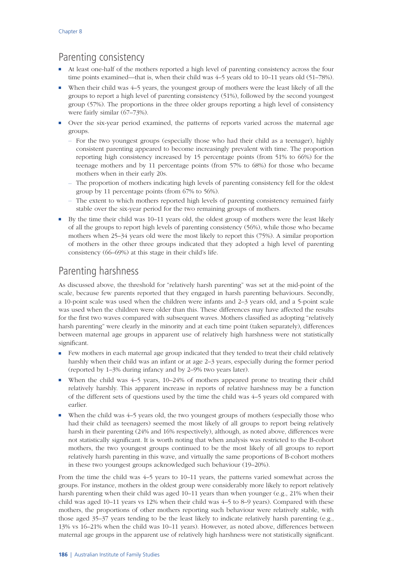## Parenting consistency

- At least one-half of the mothers reported a high level of parenting consistency across the four time points examined—that is, when their child was 4–5 years old to 10–11 years old (51–78%).
- When their child was 4–5 years, the youngest group of mothers were the least likely of all the groups to report a high level of parenting consistency (51%), followed by the second youngest group (57%). The proportions in the three older groups reporting a high level of consistency were fairly similar (67–73%).
- Over the six-year period examined, the patterns of reports varied across the maternal age groups.
	- For the two youngest groups (especially those who had their child as a teenager), highly consistent parenting appeared to become increasingly prevalent with time. The proportion reporting high consistency increased by 15 percentage points (from 51% to 66%) for the teenage mothers and by 11 percentage points (from 57% to 68%) for those who became mothers when in their early 20s.
	- The proportion of mothers indicating high levels of parenting consistency fell for the oldest group by 11 percentage points (from 67% to 56%).
	- The extent to which mothers reported high levels of parenting consistency remained fairly stable over the six-year period for the two remaining groups of mothers.
- By the time their child was 10–11 years old, the oldest group of mothers were the least likely of all the groups to report high levels of parenting consistency (56%), while those who became mothers when 25–34 years old were the most likely to report this (75%). A similar proportion of mothers in the other three groups indicated that they adopted a high level of parenting consistency (66–69%) at this stage in their child's life.

## Parenting harshness

As discussed above, the threshold for "relatively harsh parenting" was set at the mid-point of the scale, because few parents reported that they engaged in harsh parenting behaviours. Secondly, a 10-point scale was used when the children were infants and 2–3 years old, and a 5-point scale was used when the children were older than this. These differences may have affected the results for the first two waves compared with subsequent waves. Mothers classified as adopting "relatively harsh parenting" were clearly in the minority and at each time point (taken separately), differences between maternal age groups in apparent use of relatively high harshness were not statistically significant.

- Few mothers in each maternal age group indicated that they tended to treat their child relatively harshly when their child was an infant or at age 2–3 years, especially during the former period (reported by 1–3% during infancy and by 2–9% two years later).
- When the child was 4–5 years, 10–24% of mothers appeared prone to treating their child relatively harshly. This apparent increase in reports of relative harshness may be a function of the different sets of questions used by the time the child was 4–5 years old compared with earlier.
- When the child was  $4-5$  years old, the two youngest groups of mothers (especially those who had their child as teenagers) seemed the most likely of all groups to report being relatively harsh in their parenting (24% and 16% respectively), although, as noted above, differences were not statistically significant. It is worth noting that when analysis was restricted to the B-cohort mothers, the two youngest groups continued to be the most likely of all groups to report relatively harsh parenting in this wave, and virtually the same proportions of B-cohort mothers in these two youngest groups acknowledged such behaviour (19–20%).

From the time the child was 4–5 years to 10–11 years, the patterns varied somewhat across the groups. For instance, mothers in the oldest group were considerably more likely to report relatively harsh parenting when their child was aged 10–11 years than when younger (e.g., 21% when their child was aged 10–11 years vs 12% when their child was 4–5 to 8–9 years). Compared with these mothers, the proportions of other mothers reporting such behaviour were relatively stable, with those aged 35–37 years tending to be the least likely to indicate relatively harsh parenting (e.g., 13% vs 16–21% when the child was 10–11 years). However, as noted above, differences between maternal age groups in the apparent use of relatively high harshness were not statistically significant.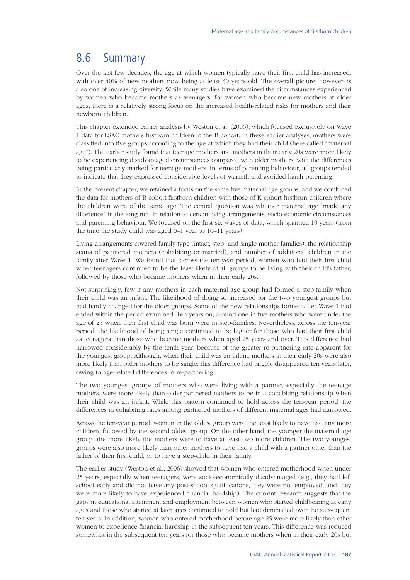# 8.6 Summary

Over the last few decades, the age at which women typically have their first child has increased, with over 40% of new mothers now being at least 30 years old. The overall picture, however, is also one of increasing diversity. While many studies have examined the circumstances experienced by women who become mothers as teenagers, for women who become new mothers at older ages, there is a relatively strong focus on the increased health-related risks for mothers and their newborn children.

This chapter extended earlier analysis by Weston et al. (2006), which focused exclusively on Wave 1 data for LSAC mothers firstborn children in the B cohort. In these earlier analyses, mothers were classified into five groups according to the age at which they had their child (here called "maternal age"). The earlier study found that teenage mothers and mothers in their early 20s were more likely to be experiencing disadvantaged circumstances compared with older mothers, with the differences being particularly marked for teenage mothers. In terms of parenting behaviour, all groups tended to indicate that they expressed considerable levels of warmth and avoided harsh parenting.

In the present chapter, we retained a focus on the same five maternal age groups, and we combined the data for mothers of B-cohort firstborn children with those of K-cohort firstborn children where the children were of the same age. The central question was whether maternal age "made any difference" in the long run, in relation to certain living arrangements, socio-economic circumstances and parenting behaviour. We focused on the first six waves of data, which spanned 10 years (from the time the study child was aged 0–1 year to 10–11 years).

Living arrangements covered family type (intact, step- and single-mother families), the relationship status of partnered mothers (cohabiting or married), and number of additional children in the family after Wave 1. We found that, across the ten-year period, women who had their first child when teenagers continued to be the least likely of all groups to be living with their child's father, followed by those who became mothers when in their early 20s.

Not surprisingly, few if any mothers in each maternal age group had formed a step-family when their child was an infant. The likelihood of doing so increased for the two youngest groups but had hardly changed for the older groups. Some of the new relationships formed after Wave 1 had ended within the period examined. Ten years on, around one in five mothers who were under the age of 25 when their first child was born were in step-families. Nevertheless, across the ten-year period, the likelihood of being single continued to be higher for those who had their first child as teenagers than those who became mothers when aged 25 years and over. This difference had narrowed considerably by the tenth year, because of the greater re-partnering rate apparent for the youngest group. Although, when their child was an infant, mothers in their early 20s were also more likely than older mothers to be single, this difference had largely disappeared ten years later, owing to age-related differences in re-partnering.

The two youngest groups of mothers who were living with a partner, especially the teenage mothers, were more likely than older partnered mothers to be in a cohabiting relationship when their child was an infant. While this pattern continued to hold across the ten-year period, the differences in cohabiting rates among partnered mothers of different maternal ages had narrowed.

Across the ten-year period, women in the oldest group were the least likely to have had any more children, followed by the second oldest group. On the other hand, the younger the maternal age group, the more likely the mothers were to have at least two more children. The two youngest groups were also more likely than other mothers to have had a child with a partner other than the father of their first child, or to have a step-child in their family.

The earlier study (Weston et al., 2006) showed that women who entered motherhood when under 25 years, especially when teenagers, were socio-economically disadvantaged (e.g., they had left school early and did not have any post-school qualifications, they were not employed, and they were more likely to have experienced financial hardship). The current research suggests that the gaps in educational attainment and employment between women who started childbearing at early ages and those who started at later ages continued to hold but had diminished over the subsequent ten years. In addition, women who entered motherhood before age 25 were more likely than other women to experience financial hardship in the subsequent ten years. This difference was reduced somewhat in the subsequent ten years for those who became mothers when in their early 20s but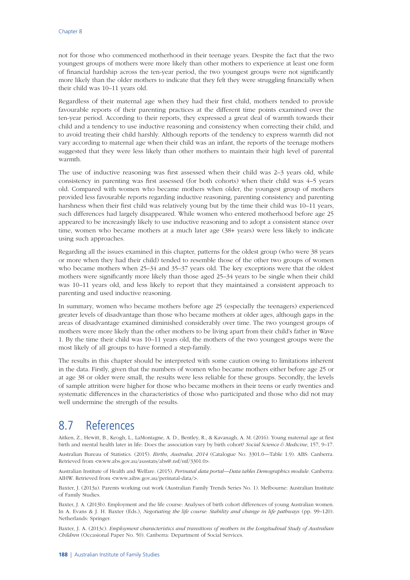not for those who commenced motherhood in their teenage years. Despite the fact that the two youngest groups of mothers were more likely than other mothers to experience at least one form of financial hardship across the ten-year period, the two youngest groups were not significantly more likely than the older mothers to indicate that they felt they were struggling financially when their child was 10–11 years old.

Regardless of their maternal age when they had their first child, mothers tended to provide favourable reports of their parenting practices at the different time points examined over the ten-year period. According to their reports, they expressed a great deal of warmth towards their child and a tendency to use inductive reasoning and consistency when correcting their child, and to avoid treating their child harshly. Although reports of the tendency to express warmth did not vary according to maternal age when their child was an infant, the reports of the teenage mothers suggested that they were less likely than other mothers to maintain their high level of parental warmth.

The use of inductive reasoning was first assessed when their child was 2–3 years old, while consistency in parenting was first assessed (for both cohorts) when their child was 4–5 years old. Compared with women who became mothers when older, the youngest group of mothers provided less favourable reports regarding inductive reasoning, parenting consistency and parenting harshness when their first child was relatively young but by the time their child was 10–11 years, such differences had largely disappeared. While women who entered motherhood before age 25 appeared to be increasingly likely to use inductive reasoning and to adopt a consistent stance over time, women who became mothers at a much later age (38+ years) were less likely to indicate using such approaches.

Regarding all the issues examined in this chapter, patterns for the oldest group (who were 38 years or more when they had their child) tended to resemble those of the other two groups of women who became mothers when 25–34 and 35–37 years old. The key exceptions were that the oldest mothers were significantly more likely than those aged 25–34 years to be single when their child was 10–11 years old, and less likely to report that they maintained a consistent approach to parenting and used inductive reasoning.

In summary, women who became mothers before age 25 (especially the teenagers) experienced greater levels of disadvantage than those who became mothers at older ages, although gaps in the areas of disadvantage examined diminished considerably over time. The two youngest groups of mothers were more likely than the other mothers to be living apart from their child's father in Wave 1. By the time their child was 10–11 years old, the mothers of the two youngest groups were the most likely of all groups to have formed a step-family.

The results in this chapter should be interpreted with some caution owing to limitations inherent in the data. Firstly, given that the numbers of women who became mothers either before age 25 or at age 38 or older were small, the results were less reliable for these groups. Secondly, the levels of sample attrition were higher for those who became mothers in their teens or early twenties and systematic differences in the characteristics of those who participated and those who did not may well undermine the strength of the results.

## 8.7 References

Aitken, Z., Hewitt, B., Keogh, L., LaMontagne, A. D., Bentley, R., & Kavanagh, A. M. (2016). Young maternal age at first birth and mental health later in life: Does the association vary by birth cohort? *Social Science & Medicine*, 157, 9–17.

Australian Bureau of Statistics. (2015). *Births, Australia, 2014* (Catalogue No. 3301.0—Table 1.9). ABS: Canberra. Retrieved from <[www.abs.gov.au/ausstats/abs@.nsf/mf/3301.0>](http://www.abs.gov.au/ausstats/abs@.nsf/mf/3301.0).

Australian Institute of Health and Welfare. (2015). *Perinatal data portal—Data tables Demographics module*. Canberra: AIHW. Retrieved from [<www.aihw.gov.au/perinatal-data/](http://www.aihw.gov.au/perinatal-data/)>.

Baxter, J. (2013a). Parents working out work (Australian Family Trends Series No. 1). Melbourne: Australian Institute of Family Studies.

Baxter, J. A. (2013b). Employment and the life course: Analyses of birth cohort differences of young Australian women. In A. Evans & J. H. Baxter (Eds.), *Negotiating the life course: Stability and change in life pathways* (pp. 99–120). Netherlands: Springer.

Baxter, J. A. (2013c). *Employment characteristics and transitions of mothers in the Longitudinal Study of Australian Children* (Occasional Paper No. 50). Canberra: Department of Social Services.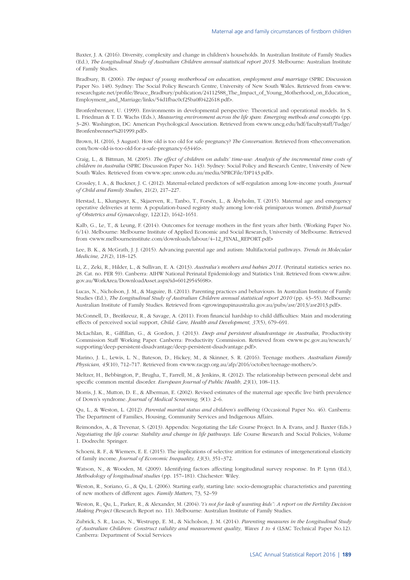Baxter, J. A. (2016). Diversity, complexity and change in children's households. In Australian Institute of Family Studies (Ed.), *The Longitudinal Study of Australian Children annual statistical report 2015*. Melbourne: Australian Institute of Family Studies.

Bradbury, B. (2006). *The impact of young motherhood on education, employment and marriage* (SPRC Discussion Paper No. 148). Sydney: The Social Policy Research Centre, University of New South Wales. Retrieved from [<www.](http://www.researchgate.net/profile/Bruce_Bradbury/publication/24112588_The_Impact_of_Young_Motherhood_on_Education_Employment_and_Marriage/links/54d1fbac0cf25ba0f0422618.pdf) [researchgate.net/profile/Bruce\\_Bradbury/publication/24112588\\_The\\_Impact\\_of\\_Young\\_Motherhood\\_on\\_Education\\_](http://www.researchgate.net/profile/Bruce_Bradbury/publication/24112588_The_Impact_of_Young_Motherhood_on_Education_Employment_and_Marriage/links/54d1fbac0cf25ba0f0422618.pdf) [Employment\\_and\\_Marriage/links/54d1fbac0cf25ba0f0422618.pdf](http://www.researchgate.net/profile/Bruce_Bradbury/publication/24112588_The_Impact_of_Young_Motherhood_on_Education_Employment_and_Marriage/links/54d1fbac0cf25ba0f0422618.pdf)>.

Bronfenbrenner, U. (1999). Environments in developmental perspective: Theoretical and operational models. In S. L. Friedman & T. D. Wachs (Eds.), *Measuring environment across the life span: Emerging methods and concepts* (pp. 3–28). Washington, DC: American Psychological Association. Retrieved from [<www.uncg.edu/hdf/facultystaff/Tudge/](http://www.uncg.edu/hdf/facultystaff/Tudge/Bronfenbrenner%201999.pdf) [Bronfenbrenner%201999.pdf>](http://www.uncg.edu/hdf/facultystaff/Tudge/Bronfenbrenner%201999.pdf).

Brown, H. (2016, 3 August). How old is too old for safe pregnancy? *The Conversation*. Retrieved from <[theconversation.](http://theconversation.com/how-old-is-too-old-for-a-safe-pregnancy-63446) [com/how-old-is-too-old-for-a-safe-pregnancy-63446>](http://theconversation.com/how-old-is-too-old-for-a-safe-pregnancy-63446).

Craig, L., & Bittman, M. (2005). *The effect of children on adults' time-use: Analysis of the incremental time costs of children in Australia* (SPRC Discussion Paper No. 143). Sydney: Social Policy and Research Centre, University of New South Wales. Retrieved from <[www.sprc.unsw.edu.au/media/SPRCFile/DP143.pdf](http://www.sprc.unsw.edu.au/media/SPRCFile/DP143.pdf)>.

Crossley, I. A., & Buckner, J. C. (2012). Maternal-related predictors of self-regulation among low-income youth. *Journal of Child and Family Studies*, 21(2), 217–227.

Herstad, L., Klungsøyr, K., Skjaerven, R., Tanbo, T., Forsén, L., & Åbyholm, T. (2015). Maternal age and emergency operative deliveries at term: A population-based registry study among low-risk primiparous women. *British Journal of Obstetrics and Gynaecology*, 122(12), 1642–1651.

Kalb, G., Le, T., & Leung, F. (2014). Outcomes for teenage mothers in the first years after birth. (Working Paper No. 6/14). Melbourne: Melbourne Institute of Applied Economic and Social Research, University of Melbourne. Retrieved from <[www.melbourneinstitute.com/downloads/labour/4–12\\_FINAL\\_REPORT.pdf](http://www.melbourneinstitute.com/downloads/labour/4-12_FINAL_REPORT.pdf)>

Lee, B. K., & McGrath, J. J. (2015). Advancing parental age and autism: Multifactorial pathways. *Trends in Molecular Medicine, 21*(2), 118–125.

Li, Z., Zeki, R., Hilder, L., & Sullivan, E. A. (2013). *Australia's mothers and babies 2011*. (Perinatal statistics series no. 28. Cat. no. PER 59). Canberra: AIHW National Perinatal Epidemiology and Statistics Unit. Retrieved from [<www.aihw.](http://www.aihw.gov.au/WorkArea/DownloadAsset.aspx?id=60129545698) [gov.au/WorkArea/DownloadAsset.aspx?id=60129545698](http://www.aihw.gov.au/WorkArea/DownloadAsset.aspx?id=60129545698)>.

Lucas, N., Nicholson, J. M., & Maguire, B. (2011). Parenting practices and behaviours. In Australian Institute of Family Studies (Ed.), *The Longitudinal Study of Australian Children annual statistical report 2010* (pp. 43–55). Melbourne: Australian Institute of Family Studies. Retrieved from [<growingupinaustralia.gov.au/pubs/asr/2013/asr2013.pdf>](http://growingupinaustralia.gov.au/pubs/asr/2013/asr2013.pdf).

McConnell, D., Breitkreuz, R., & Savage, A. (2011). From financial hardship to child difficulties: Main and moderating effects of perceived social support, *Child: Care, Health and Development, 37*(5), 679–691.

McLachlan, R., Gilfillan, G., & Gordon, J. (2013). *Deep and persistent disadvantage in Australia*, Productivity Commission Staff Working Paper. Canberra: Productivity Commission. Retrieved from [<www.pc.gov.au/research/](http://www.pc.gov.au/research/supporting/deep-persistent-disadvantage/deep-persistent-disadvantage.pdf) [supporting/deep-persistent-disadvantage/deep-persistent-disadvantage.pdf](http://www.pc.gov.au/research/supporting/deep-persistent-disadvantage/deep-persistent-disadvantage.pdf)>.

Marino, J. L., Lewis, L. N., Bateson, D., Hickey, M., & Skinner, S. R. (2016). Teenage mothers. *Australian Family Physician, 45*(10), 712–717. Retrieved from [<www.racgp.org.au/afp/2016/october/teenage-mothers/](http://www.racgp.org.au/afp/2016/october/teenage-mothers/)>.

Meltzer, H., Bebbington, P., Brugha, T., Farrell, M., & Jenkins, R. (2012). The relationship between personal debt and specific common mental disorder. *European Journal of Public Health, 23*(1), 108–113.

Morris, J. K., Mutton, D. E., & Alberman, E. (2002). Revised estimates of the maternal age specific live birth prevalence of Down's syndrome. *Journal of Medical Screening, 9*(1): 2–6.

Qu, L., & Weston, L. (2012). *Parental marital status and children's wellbeing* (Occasional Paper No. 46). Canberra: The Department of Families, Housing, Community Services and Indigenous Affairs.

Reimondos, A., & Trevenar, S. (2013). Appendix: Negotiating the Life Course Project. In A. Evans, and J. Baxter (Eds.) *Negotiating the life course: Stability and change in life pathways*. Life Course Research and Social Policies, Volume 1. Dodrecht: Springer.

Schoeni, R. F., & Wiemers, E. E. (2015). The implications of selective attrition for estimates of intergenerational elasticity of family income. *Journal of Economic Inequality, 13*(3), 351–372.

Watson, N., & Wooden, M. (2009). Identifying factors affecting longitudinal survey response. In P. Lynn (Ed.), *Methodology of longitudinal studies* (pp. 157–181). Chichester: Wiley.

Weston, R., Soriano, G., & Qu, L. (2006). Starting early, starting late: socio-demographic characteristics and parenting of new mothers of different ages. *Family Matters*, 73, 52–59

Weston, R., Qu, L., Parker, R., & Alexander, M. (2004).*"t's not for lack of wanting kids": A report on the Fertility Decision Making Project* (Research Report no. 11). Melbourne: Australian Institute of Family Studies.

Zubrick, S. R., Lucas, N., Westrupp, E. M., & Nicholson, J. M. (2014). *Parenting measures in the Longitudinal Study of Australian Children: Construct validity and measurement quality, Waves 1 to 4* (LSAC Technical Paper No.12). Canberra: Department of Social Services